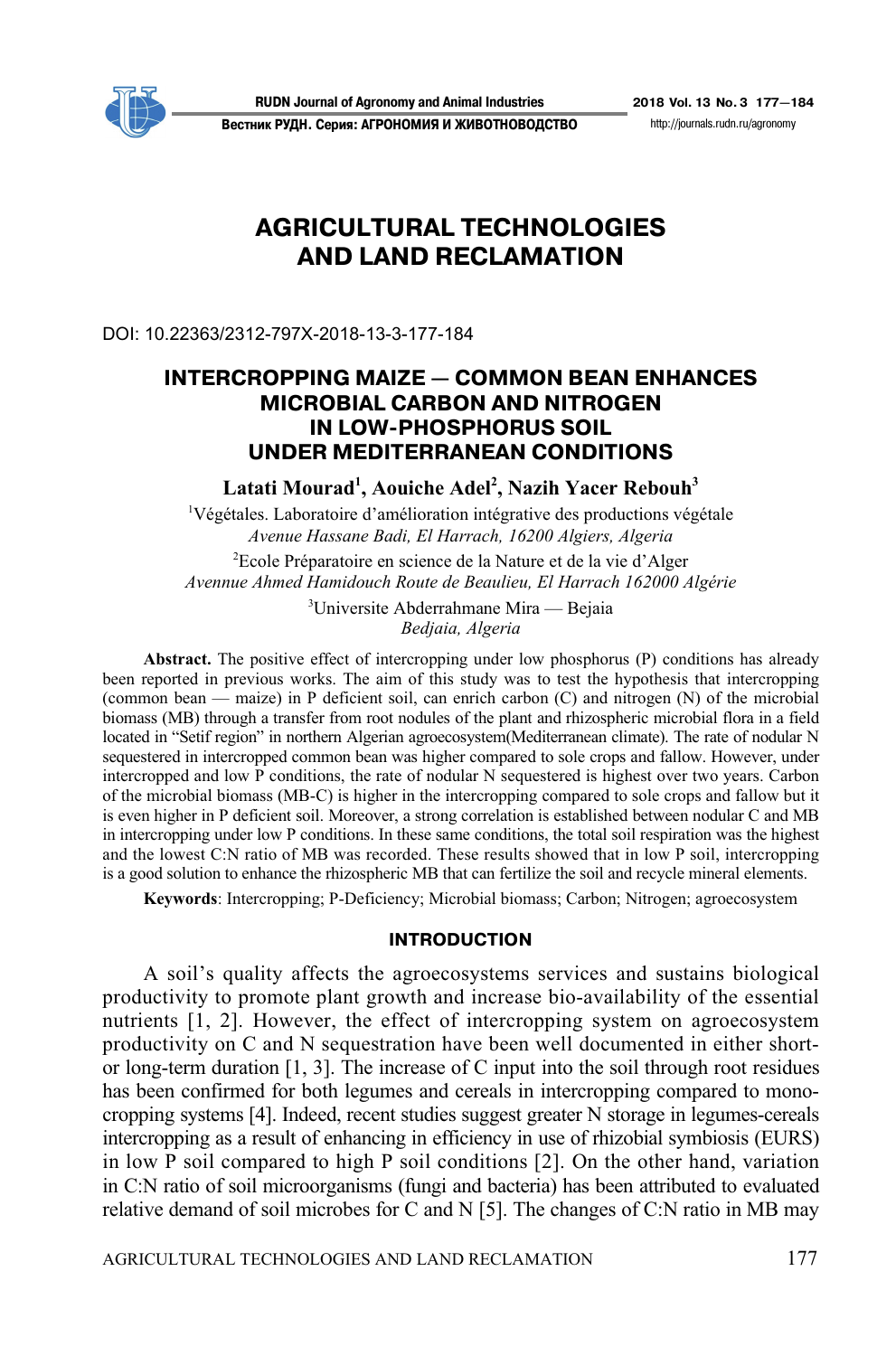

**Вестник РУДН. Серия: АГРОНОМИЯ И ЖИВОТНОВОДСТВО** http://journals.rudn.ru/agronomy

# **AGRICULTURAL TECHNOLOGIES AND LAND RECLAMATION**

DOI: 10.22363/2312-797X-2018-13-3-177-184

# **INTERCROPPING MAIZE — COMMON BEAN ENHANCES MICROBIAL CARBON AND NITROGEN IN LOW?PHOSPHORUS SOIL UNDER MEDITERRANEAN CONDITIONS**

**Latati Mourad1 , Aouiche Adel2 , Nazih Yacer Rebouh3**

<sup>1</sup>Végétales. Laboratoire d'amélioration intégrative des productions végétale *Avenue Hassane Badi, El Harrach, 16200 Algiers, Algeria* 

2 Ecole Préparatoire en science de la Nature et de la vie d'Alger *Avennue Ahmed Hamidouch Route de Beaulieu, El Harrach 162000 Algérie* 

> <sup>3</sup>Universite Abderrahmane Mira — Bejaia *Bedjaia, Algeria*

**Abstract.** The positive effect of intercropping under low phosphorus (P) conditions has already been reported in previous works. The aim of this study was to test the hypothesis that intercropping (common bean — maize) in P deficient soil, can enrich carbon (C) and nitrogen (N) of the microbial biomass (MB) through a transfer from root nodules of the plant and rhizospheric microbial flora in a field located in "Setif region" in northern Algerian agroecosystem(Mediterranean climate). The rate of nodular N sequestered in intercropped common bean was higher compared to sole crops and fallow. However, under intercropped and low P conditions, the rate of nodular N sequestered is highest over two years. Carbon of the microbial biomass (MB-C) is higher in the intercropping compared to sole crops and fallow but it is even higher in P deficient soil. Moreover, a strong correlation is established between nodular C and MB in intercropping under low P conditions. In these same conditions, the total soil respiration was the highest and the lowest C:N ratio of MB was recorded. These results showed that in low P soil, intercropping is a good solution to enhance the rhizospheric MB that can fertilize the soil and recycle mineral elements.

**Keywords**: Intercropping; P-Deficiency; Microbial biomass; Carbon; Nitrogen; agroecosystem

### **INTRODUCTION**

A soil's quality affects the agroecosystems services and sustains biological productivity to promote plant growth and increase bio-availability of the essential nutrients [1, 2]. However, the effect of intercropping system on agroecosystem productivity on C and N sequestration have been well documented in either shortor long-term duration [1, 3]. The increase of C input into the soil through root residues has been confirmed for both legumes and cereals in intercropping compared to monocropping systems [4]. Indeed, recent studies suggest greater N storage in legumes-cereals intercropping as a result of enhancing in efficiency in use of rhizobial symbiosis (EURS) in low P soil compared to high P soil conditions [2]. On the other hand, variation in C:N ratio of soil microorganisms (fungi and bacteria) has been attributed to evaluated relative demand of soil microbes for C and N [5]. The changes of C:N ratio in MB may

AGRICULTURAL TECHNOLOGIES AND LAND RECLAMATION 177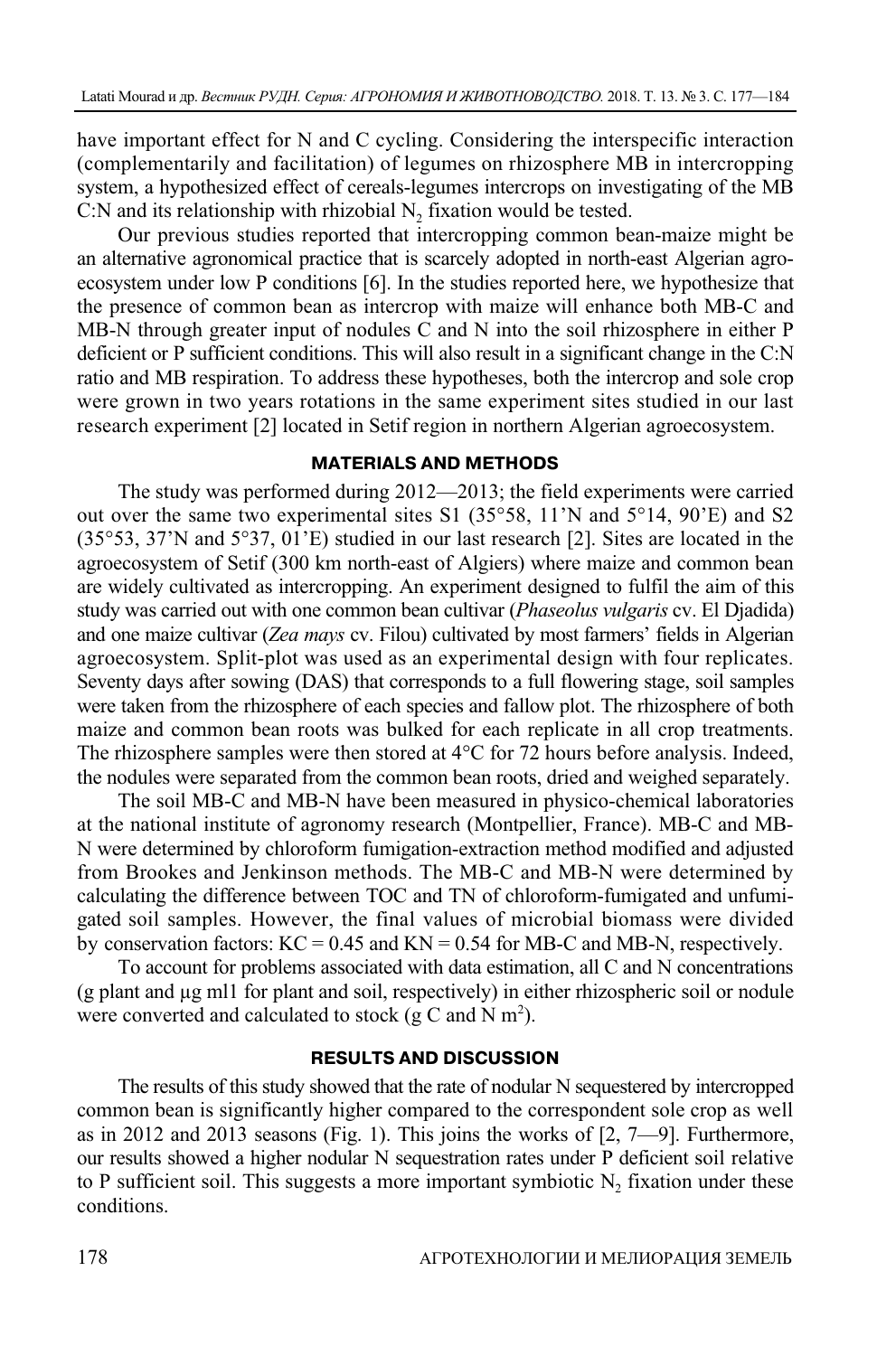have important effect for N and C cycling. Considering the interspecific interaction (complementarily and facilitation) of legumes on rhizosphere MB in intercropping system, a hypothesized effect of cereals-legumes intercrops on investigating of the MB C:N and its relationship with rhizobial  $N<sub>2</sub>$  fixation would be tested.

Our previous studies reported that intercropping common bean-maize might be an alternative agronomical practice that is scarcely adopted in north-east Algerian agroecosystem under low P conditions [6]. In the studies reported here, we hypothesize that the presence of common bean as intercrop with maize will enhance both MB-C and MB-N through greater input of nodules C and N into the soil rhizosphere in either P deficient or P sufficient conditions. This will also result in a significant change in the C:N ratio and MB respiration. To address these hypotheses, both the intercrop and sole crop were grown in two years rotations in the same experiment sites studied in our last research experiment [2] located in Setif region in northern Algerian agroecosystem.

### **MATERIALS AND METHODS**

The study was performed during 2012—2013; the field experiments were carried out over the same two experimental sites S1 (35°58, 11'N and 5°14, 90'E) and S2 (35°53, 37'N and 5°37, 01'E) studied in our last research [2]. Sites are located in the agroecosystem of Setif (300 km north-east of Algiers) where maize and common bean are widely cultivated as intercropping. An experiment designed to fulfil the aim of this study was carried out with one common bean cultivar (*Phaseolus vulgaris* cv. El Djadida) and one maize cultivar (*Zea mays* cv. Filou) cultivated by most farmers' fields in Algerian agroecosystem. Split-plot was used as an experimental design with four replicates. Seventy days after sowing (DAS) that corresponds to a full flowering stage, soil samples were taken from the rhizosphere of each species and fallow plot. The rhizosphere of both maize and common bean roots was bulked for each replicate in all crop treatments. The rhizosphere samples were then stored at 4°C for 72 hours before analysis. Indeed, the nodules were separated from the common bean roots, dried and weighed separately.

The soil MB-C and MB-N have been measured in physico-chemical laboratories at the national institute of agronomy research (Montpellier, France). MB-C and MB-N were determined by chloroform fumigation-extraction method modified and adjusted from Brookes and Jenkinson methods. The MB-C and MB-N were determined by calculating the difference between TOC and TN of chloroform-fumigated and unfumigated soil samples. However, the final values of microbial biomass were divided by conservation factors:  $KC = 0.45$  and  $KN = 0.54$  for MB-C and MB-N, respectively.

To account for problems associated with data estimation, all C and N concentrations (g plant and µg ml1 for plant and soil, respectively) in either rhizospheric soil or nodule were converted and calculated to stock (g C and N  $m^2$ ).

#### **RESULTS AND DISCUSSION**

The results of this study showed that the rate of nodular N sequestered by intercropped common bean is significantly higher compared to the correspondent sole crop as well as in 2012 and 2013 seasons (Fig. 1). This joins the works of [2, 7—9]. Furthermore, our results showed a higher nodular N sequestration rates under P deficient soil relative to P sufficient soil. This suggests a more important symbiotic  $N_2$  fixation under these conditions.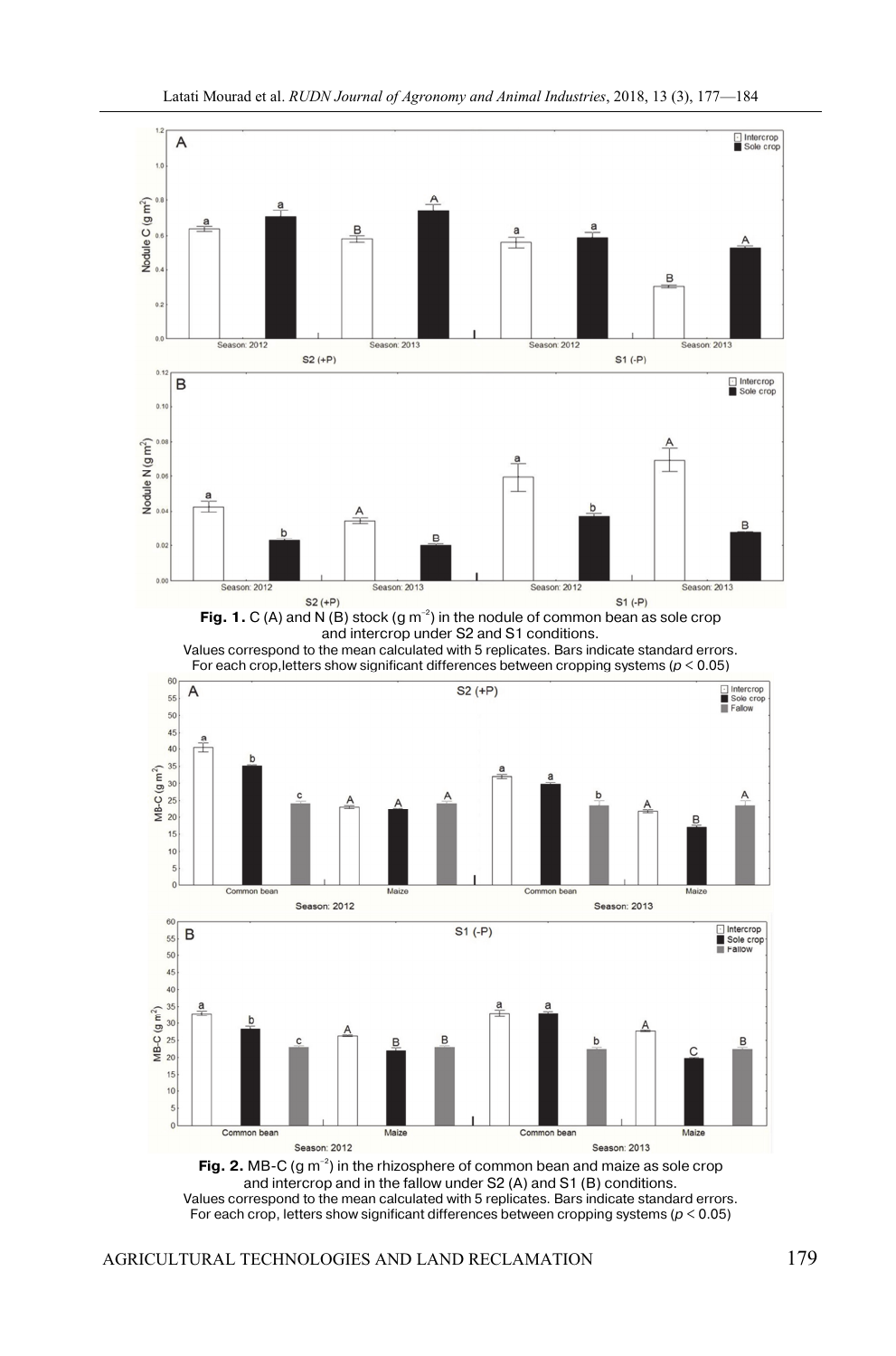

**Fig. 1.**  $C(A)$  and  $N(B)$  stock  $(g m^{-2})$  in the nodule of common bean as sole crop and intercrop under S2 and S1 conditions. Values correspond to the mean calculated with 5 replicates. Bars indicate standard errors.





**Fig. 2.** MB-C  $(g m^{-2})$  in the rhizosphere of common bean and maize as sole crop and intercrop and in the fallow under S2 (A) and S1 (B) conditions. Values correspond to the mean calculated with 5 replicates. Bars indicate standard errors. For each crop, letters show significant differences between cropping systems ( $p < 0.05$ )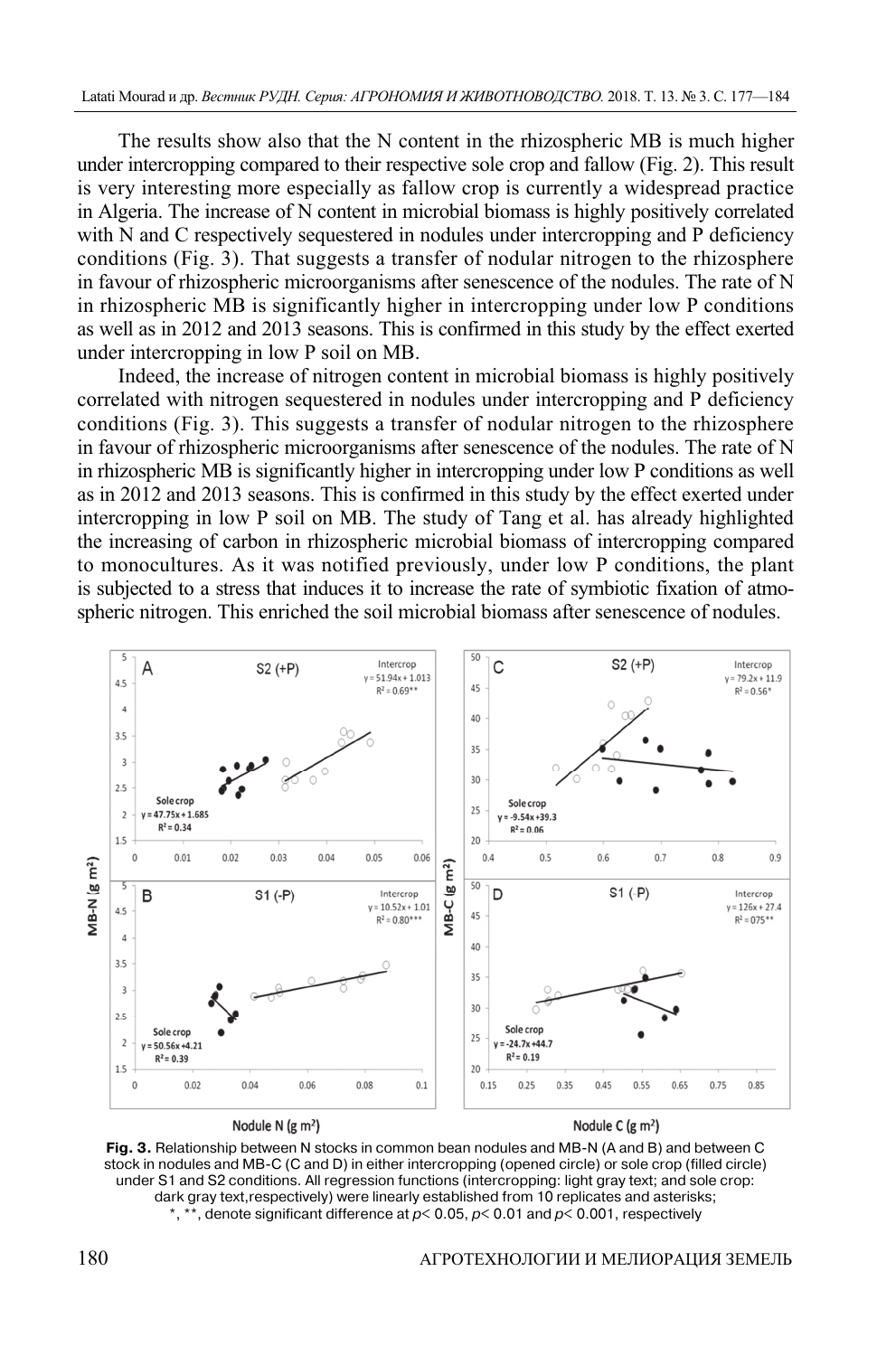The results show also that the N content in the rhizospheric MB is much higher under intercropping compared to their respective sole crop and fallow (Fig. 2). This result is very interesting more especially as fallow crop is currently a widespread practice in Algeria. The increase of N content in microbial biomass is highly positively correlated with N and C respectively sequestered in nodules under intercropping and P deficiency conditions (Fig. 3). That suggests a transfer of nodular nitrogen to the rhizosphere in favour of rhizospheric microorganisms after senescence of the nodules. The rate of N in rhizospheric MB is significantly higher in intercropping under low P conditions as well as in 2012 and 2013 seasons. This is confirmed in this study by the effect exerted under intercropping in low P soil on MB.

Indeed, the increase of nitrogen content in microbial biomass is highly positively correlated with nitrogen sequestered in nodules under intercropping and P deficiency conditions (Fig. 3). This suggests a transfer of nodular nitrogen to the rhizosphere in favour of rhizospheric microorganisms after senescence of the nodules. The rate of N in rhizospheric MB is significantly higher in intercropping under low P conditions as well as in 2012 and 2013 seasons. This is confirmed in this study by the effect exerted under intercropping in low P soil on MB. The study of Tang et al. has already highlighted the increasing of carbon in rhizospheric microbial biomass of intercropping compared to monocultures. As it was notified previously, under low P conditions, the plant is subjected to a stress that induces it to increase the rate of symbiotic fixation of atmospheric nitrogen. This enriched the soil microbial biomass after senescence of nodules.



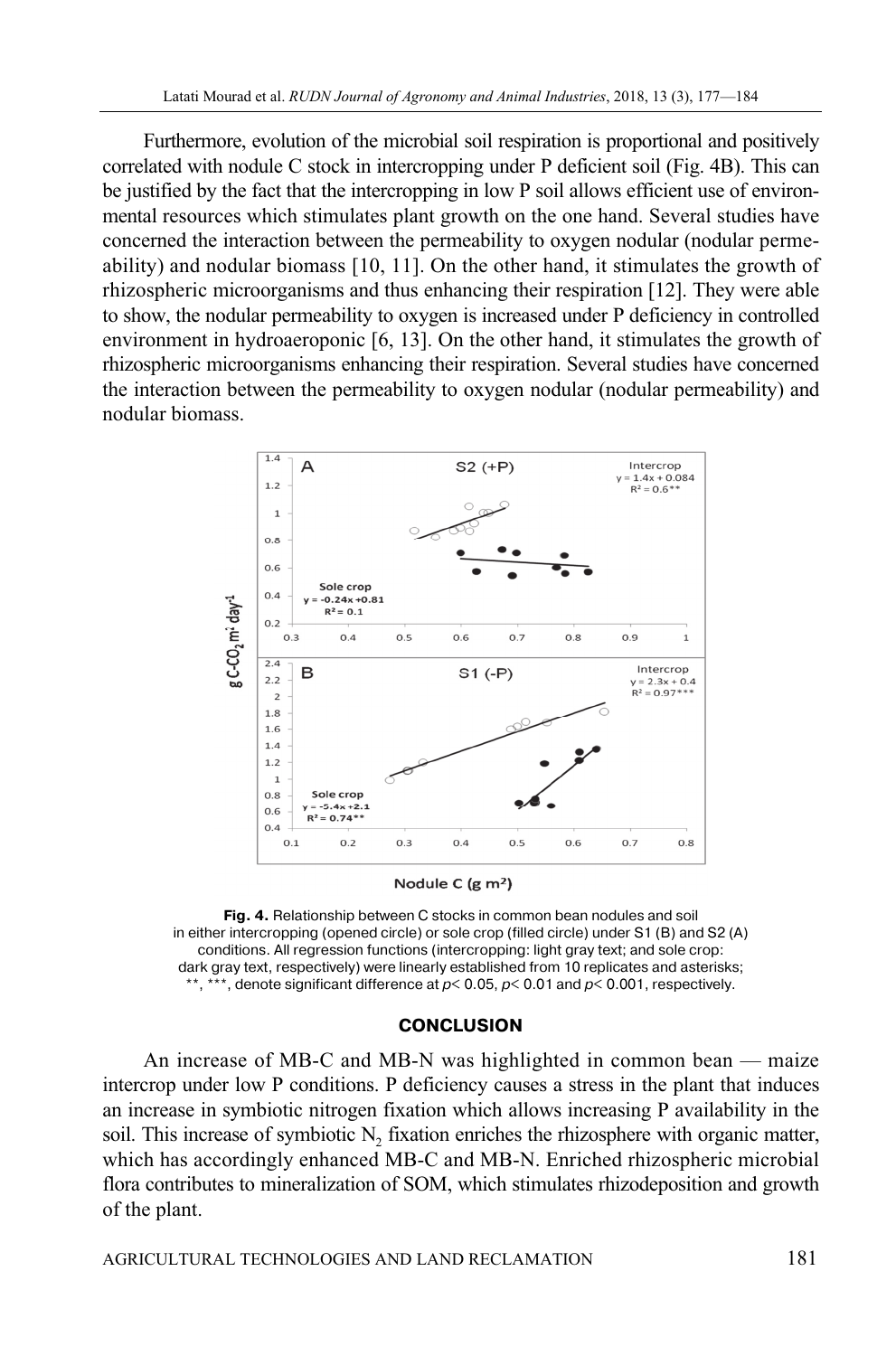Furthermore, evolution of the microbial soil respiration is proportional and positively correlated with nodule C stock in intercropping under P deficient soil (Fig. 4B). This can be justified by the fact that the intercropping in low P soil allows efficient use of environmental resources which stimulates plant growth on the one hand. Several studies have concerned the interaction between the permeability to oxygen nodular (nodular permeability) and nodular biomass [10, 11]. On the other hand, it stimulates the growth of rhizospheric microorganisms and thus enhancing their respiration [12]. They were able to show, the nodular permeability to oxygen is increased under P deficiency in controlled environment in hydroaeroponic [6, 13]. On the other hand, it stimulates the growth of rhizospheric microorganisms enhancing their respiration. Several studies have concerned the interaction between the permeability to oxygen nodular (nodular permeability) and nodular biomass.



Nodule C (g m<sup>2</sup>)

**Fig. 4.** Relationship between C stocks in common bean nodules and soil in either intercropping (opened circle) or sole crop (filled circle) under S1 (B) and S2 (A) conditions. All regression functions (intercropping: light gray text; and sole crop: dark gray text, respectively) were linearly established from 10 replicates and asterisks; \*\*, \*\*\*, denote significant difference at  $p < 0.05$ ,  $p < 0.01$  and  $p < 0.001$ , respectively.

### **CONCLUSION**

An increase of MB-C and MB-N was highlighted in common bean — maize intercrop under low P conditions. P deficiency causes a stress in the plant that induces an increase in symbiotic nitrogen fixation which allows increasing P availability in the soil. This increase of symbiotic  $N<sub>2</sub>$  fixation enriches the rhizosphere with organic matter, which has accordingly enhanced MB-C and MB-N. Enriched rhizospheric microbial flora contributes to mineralization of SOM, which stimulates rhizodeposition and growth of the plant.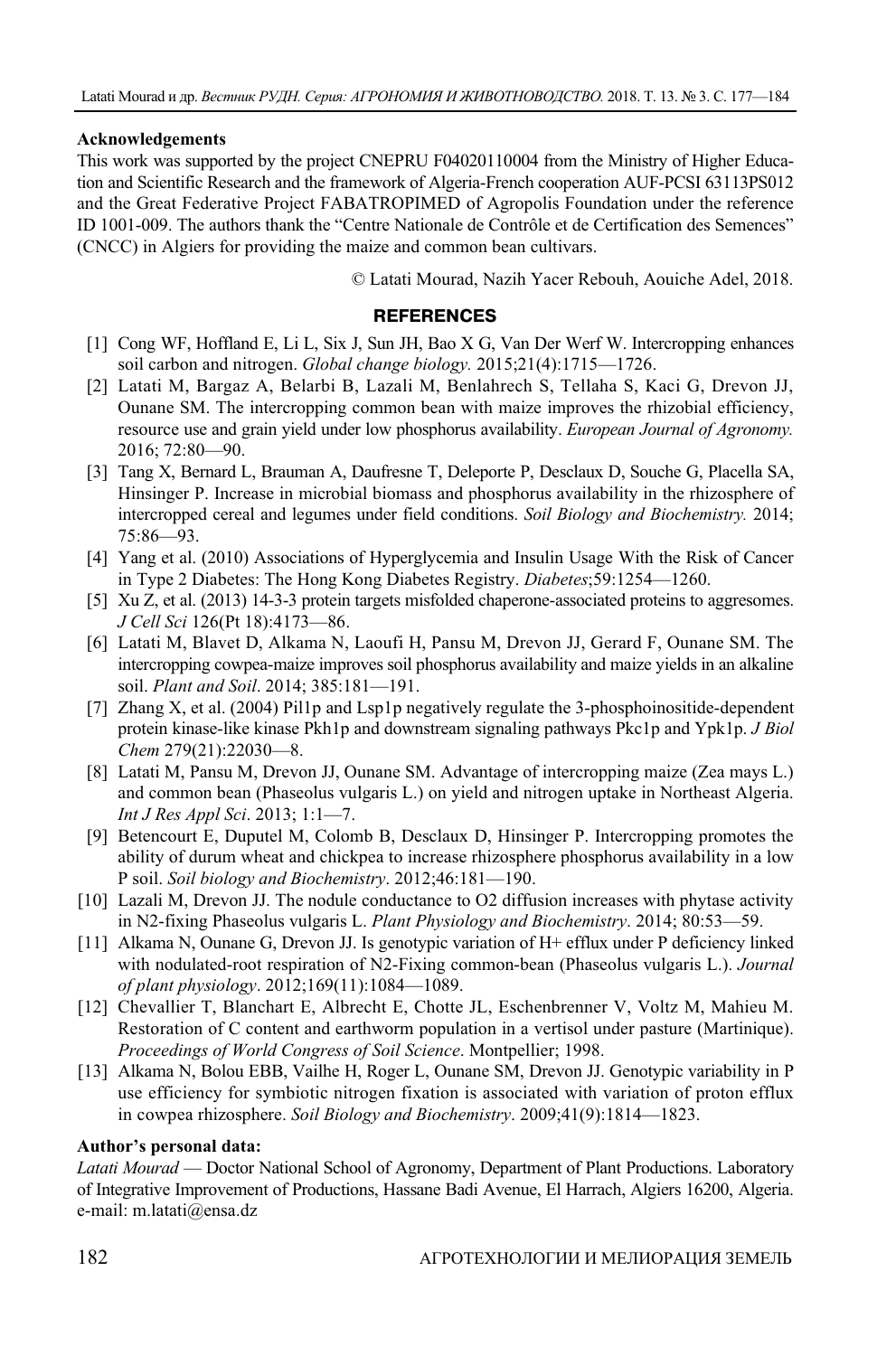### **Acknowledgements**

This work was supported by the project CNEPRU F04020110004 from the Ministry of Higher Education and Scientific Research and the framework of Algeria-French cooperation AUF-PCSI 63113PS012 and the Great Federative Project FABATROPIMED of Agropolis Foundation under the reference ID 1001-009. The authors thank the "Centre Nationale de Contrôle et de Certification des Semences" (CNCC) in Algiers for providing the maize and common bean cultivars.

© Latati Mourad, Nazih Yacer Rebouh, Aouiche Adel, 2018.

#### **REFERENCES**

- [1] Cong WF, Hoffland E, Li L, Six J, Sun JH, Bao X G, Van Der Werf W. Intercropping enhances soil carbon and nitrogen. *Global change biology.* 2015;21(4):1715—1726.
- [2] Latati M, Bargaz A, Belarbi B, Lazali M, Benlahrech S, Tellaha S, Kaci G, Drevon JJ, Ounane SM. The intercropping common bean with maize improves the rhizobial efficiency, resource use and grain yield under low phosphorus availability. *European Journal of Agronomy.* 2016; 72:80—90.
- [3] Tang X, Bernard L, Brauman A, Daufresne T, Deleporte P, Desclaux D, Souche G, Placella SA, Hinsinger P. Increase in microbial biomass and phosphorus availability in the rhizosphere of intercropped cereal and legumes under field conditions. *Soil Biology and Biochemistry.* 2014; 75:86—93.
- [4] Yang et al. (2010) Associations of Hyperglycemia and Insulin Usage With the Risk of Cancer in Type 2 Diabetes: The Hong Kong Diabetes Registry. *Diabetes*;59:1254—1260.
- [5] Xu Z, et al. (2013) 14-3-3 protein targets misfolded chaperone-associated proteins to aggresomes. *J Cell Sci* 126(Pt 18):4173—86.
- [6] Latati M, Blavet D, Alkama N, Laoufi H, Pansu M, Drevon JJ, Gerard F, Ounane SM. The intercropping cowpea-maize improves soil phosphorus availability and maize yields in an alkaline soil. *Plant and Soil*. 2014; 385:181—191.
- [7] Zhang X, et al. (2004) Pil1p and Lsp1p negatively regulate the 3-phosphoinositide-dependent protein kinase-like kinase Pkh1p and downstream signaling pathways Pkc1p and Ypk1p. *J Biol Chem* 279(21):22030—8.
- [8] Latati M, Pansu M, Drevon JJ, Ounane SM. Advantage of intercropping maize (Zea mays L.) and common bean (Phaseolus vulgaris L.) on yield and nitrogen uptake in Northeast Algeria. *Int J Res Appl Sci*. 2013; 1:1—7.
- [9] Betencourt E, Duputel M, Colomb B, Desclaux D, Hinsinger P. Intercropping promotes the ability of durum wheat and chickpea to increase rhizosphere phosphorus availability in a low P soil. *Soil biology and Biochemistry*. 2012;46:181—190.
- [10] Lazali M, Drevon JJ. The nodule conductance to O2 diffusion increases with phytase activity in N2-fixing Phaseolus vulgaris L. *Plant Physiology and Biochemistry*. 2014; 80:53—59.
- [11] Alkama N, Ounane G, Drevon JJ. Is genotypic variation of H+ efflux under P deficiency linked with nodulated-root respiration of N2-Fixing common-bean (Phaseolus vulgaris L.). *Journal of plant physiology*. 2012;169(11):1084—1089.
- [12] Chevallier T, Blanchart E, Albrecht E, Chotte JL, Eschenbrenner V, Voltz M, Mahieu M. Restoration of C content and earthworm population in a vertisol under pasture (Martinique). *Proceedings of World Congress of Soil Science*. Montpellier; 1998.
- [13] Alkama N, Bolou EBB, Vailhe H, Roger L, Ounane SM, Drevon JJ. Genotypic variability in P use efficiency for symbiotic nitrogen fixation is associated with variation of proton efflux in cowpea rhizosphere. *Soil Biology and Biochemistry*. 2009;41(9):1814—1823.

### **Author's personal data:**

*Latati Mourad* — Doctor National School of Agronomy, Department of Plant Productions. Laboratory of Integrative Improvement of Productions, Hassane Badi Avenue, El Harrach, Algiers 16200, Algeria. e-mail: m.latati@ensa.dz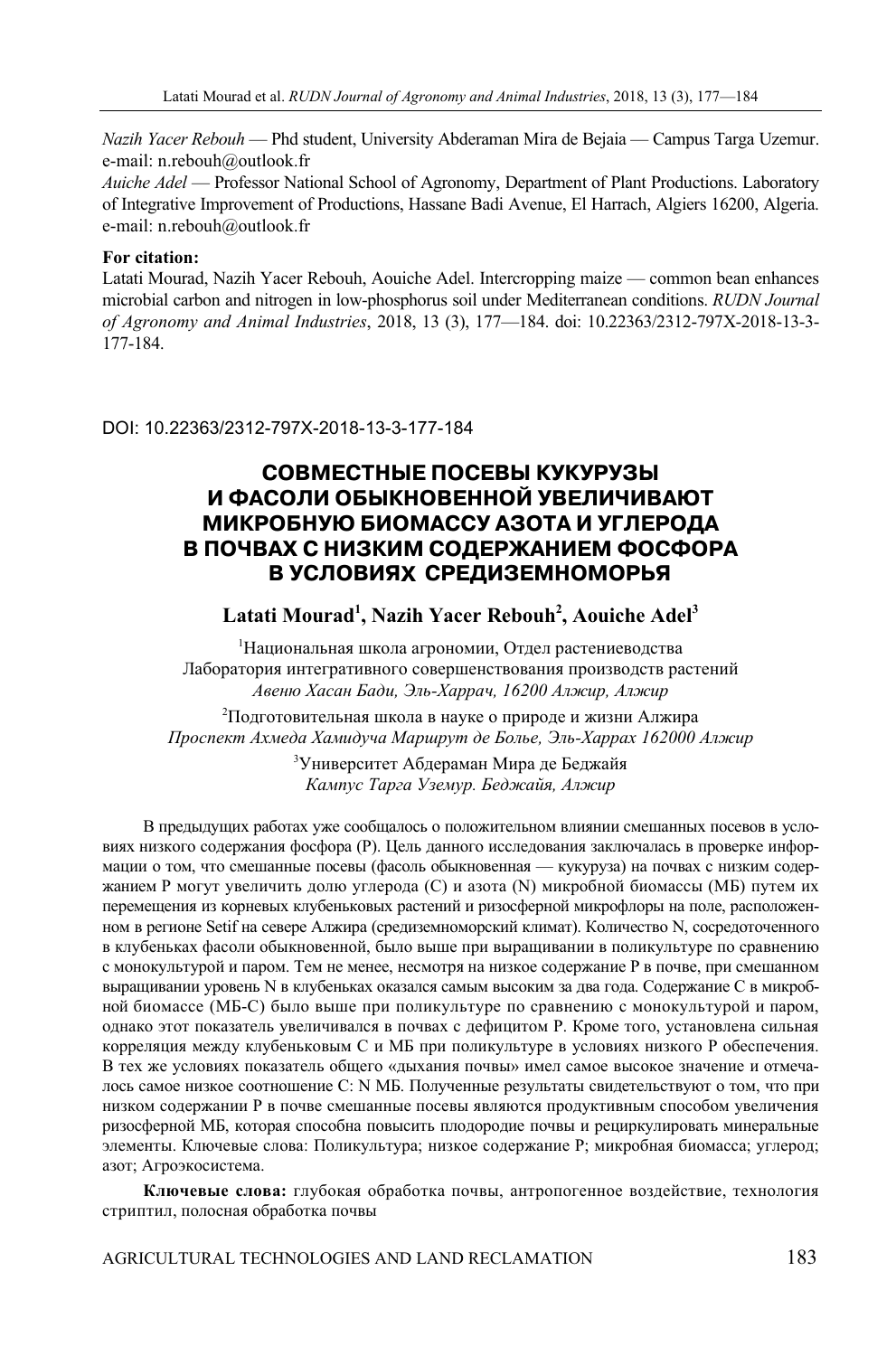*Nazih Yacer Rebouh* — Phd student, University Abderaman Mira de Bejaia — Campus Targa Uzemur. e-mail: n.rebouh@outlook.fr

*Auiche Adel* — Professor National School of Agronomy, Department of Plant Productions. Laboratory of Integrative Improvement of Productions, Hassane Badi Avenue, El Harrach, Algiers 16200, Algeria. e-mail: n.rebouh@outlook.fr

#### **For citation:**

Latati Mourad, Nazih Yacer Rebouh, Aouiche Adel. Intercropping maize — common bean enhances microbial carbon and nitrogen in low-phosphorus soil under Mediterranean conditions. *RUDN Journal of Agronomy and Animal Industries*, 2018, 13 (3), 177—184. doi: 10.22363/2312-797X-2018-13-3- 177-184.

DOI: 10.22363/2312-797X-2018-13-3-177-184

# **СОВМЕСТНЫЕ ПОСЕВЫ КУКУРУЗЫ И ФАСОЛИ ОБЫКНОВЕННОЙ УВЕЛИЧИВАЮТ МИКРОБНУЮ БИОМАССУ АЗОТА И УГЛЕРОДА В ПОЧВАХ С НИЗКИМ СОДЕРЖАНИЕМ ФОСФОРА**  В УСЛОВИЯХ СРЕДИЗЕМНОМОРЬЯ

### Latati Mourad<sup>1</sup>, Nazih Yacer Rebouh<sup>2</sup>, Aouiche Adel<sup>3</sup>

1 Национальная школа агрономии, Отдел растениеводства Лаборатория интегративного совершенствования производств растений *Авеню Хасан Бади, Эль-Харрач, 16200 Алжир, Алжир* 

 $^2$ Подготовительная школа в науке о природе и жизни Алжира *Проспект Ахмеда Хамидуча Маршрут де Болье, Эль-Харрах 162000 Алжир* 

> 3 Университет Абдераман Мира де Беджайя *Кампус Тарга Уземур. Беджайя, Алжир*

В предыдущих работах уже сообщалось о положительном влиянии смешанных посевов в условиях низкого содержания фосфора (Р). Цель данного исследования заключалась в проверке информации о том, что смешанные посевы (фасоль обыкновенная — кукуруза) на почвах с низким содержанием Р могут увеличить долю углерода (C) и азота (N) микробной биомассы (МБ) путем их перемещения из корневых клубеньковых растений и ризосферной микрофлоры на поле, расположенном в регионе Setif на севере Алжира (средиземноморский климат). Количество N, сосредоточенного в клубеньках фасоли обыкновенной, было выше при выращивании в поликультуре по сравнению с монокультурой и паром. Тем не менее, несмотря на низкое содержание P в почве, при смешанном выращивании уровень N в клубеньках оказался самым высоким за два года. Содержание С в микробной биомассе (МБ-С) было выше при поликультуре по сравнению с монокультурой и паром, однако этот показатель увеличивался в почвах с дефицитом Р. Кроме того, установлена сильная корреляция между клубеньковым С и МБ при поликультуре в условиях низкого Р обеспечения. В тех же условиях показатель общего «дыхания почвы» имел самое высокое значение и отмечалось самое низкое соотношение C: N МБ. Полученные результаты свидетельствуют о том, что при низком содержании P в почве смешанные посевы являются продуктивным способом увеличения ризосферной МБ, которая способна повысить плодородие почвы и рециркулировать минеральные элементы. Ключевые слова: Поликультура; низкое содержание Р; микробная биомасса; углерод; азот; Агроэкосистема.

**Ключевые слова:** глубокая обработка почвы, антропогенное воздействие, технология стриптил, полосная обработка почвы